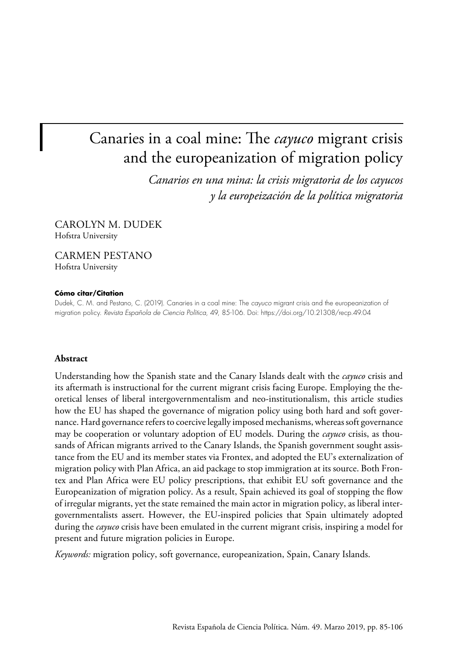# Canaries in a coal mine: The *cayuco* migrant crisis and the europeanization of migration policy

*Canarios en una mina: la crisis migratoria de los cayucos y la europeización de la política migratoria*

CAROLYN M. DUDEK Hofstra University

CARMEN PESTANO Hofstra University

#### **Cómo citar/Citation**

Dudek, C. M. and Pestano, C. (2019). Canaries in a coal mine: The *cayuco* migrant crisis and the europeanization of migration policy. *Revista Española de Ciencia Política*, 49, 85-106. Doi:<https://doi.org/10.21308/recp.49.04>

#### **Abstract**

Understanding how the Spanish state and the Canary Islands dealt with the *cayuco* crisis and its aftermath is instructional for the current migrant crisis facing Europe. Employing the theoretical lenses of liberal intergovernmentalism and neo-institutionalism, this article studies how the EU has shaped the governance of migration policy using both hard and soft governance. Hard governance refers to coercive legally imposed mechanisms, whereas soft governance may be cooperation or voluntary adoption of EU models. During the *cayuco* crisis, as thousands of African migrants arrived to the Canary Islands, the Spanish government sought assistance from the EU and its member states via Frontex, and adopted the EU's externalization of migration policy with Plan Africa, an aid package to stop immigration at its source. Both Frontex and Plan Africa were EU policy prescriptions, that exhibit EU soft governance and the Europeanization of migration policy. As a result, Spain achieved its goal of stopping the flow of irregular migrants, yet the state remained the main actor in migration policy, as liberal intergovernmentalists assert. However, the EU-inspired policies that Spain ultimately adopted during the *cayuco* crisis have been emulated in the current migrant crisis, inspiring a model for present and future migration policies in Europe.

*Keywords:* migration policy, soft governance, europeanization, Spain, Canary Islands.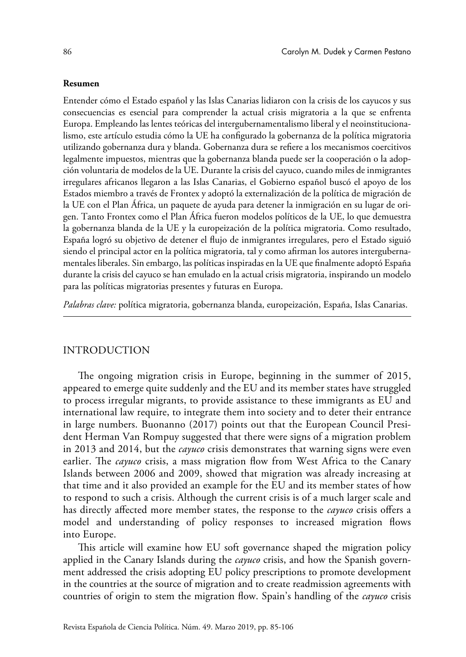#### **Resumen**

Entender cómo el Estado español y las Islas Canarias lidiaron con la crisis de los cayucos y sus consecuencias es esencial para comprender la actual crisis migratoria a la que se enfrenta Europa. Empleando las lentes teóricas del intergubernamentalismo liberal y el neoinstitucionalismo, este artículo estudia cómo la UE ha configurado la gobernanza de la política migratoria utilizando gobernanza dura y blanda. Gobernanza dura se refiere a los mecanismos coercitivos legalmente impuestos, mientras que la gobernanza blanda puede ser la cooperación o la adopción voluntaria de modelos de la UE. Durante la crisis del cayuco, cuando miles de inmigrantes irregulares africanos llegaron a las Islas Canarias, el Gobierno español buscó el apoyo de los Estados miembro a través de Frontex y adoptó la externalización de la política de migración de la UE con el Plan África, un paquete de ayuda para detener la inmigración en su lugar de origen. Tanto Frontex como el Plan África fueron modelos políticos de la UE, lo que demuestra la gobernanza blanda de la UE y la europeización de la política migratoria. Como resultado, España logró su objetivo de detener el flujo de inmigrantes irregulares, pero el Estado siguió siendo el principal actor en la política migratoria, tal y como afirman los autores intergubernamentales liberales. Sin embargo, las políticas inspiradas en la UE que finalmente adoptó España durante la crisis del cayuco se han emulado en la actual crisis migratoria, inspirando un modelo para las políticas migratorias presentes y futuras en Europa.

*Palabras clave:* política migratoria, gobernanza blanda, europeización, España, Islas Canarias.

## INTRODUCTION

The ongoing migration crisis in Europe, beginning in the summer of 2015, appeared to emerge quite suddenly and the EU and its member states have struggled to process irregular migrants, to provide assistance to these immigrants as EU and international law require, to integrate them into society and to deter their entrance in large numbers. Buonanno (2017) points out that the European Council President Herman Van Rompuy suggested that there were signs of a migration problem in 2013 and 2014, but the *cayuco* crisis demonstrates that warning signs were even earlier. The *cayuco* crisis, a mass migration flow from West Africa to the Canary Islands between 2006 and 2009, showed that migration was already increasing at that time and it also provided an example for the EU and its member states of how to respond to such a crisis. Although the current crisis is of a much larger scale and has directly affected more member states, the response to the *cayuco* crisis offers a model and understanding of policy responses to increased migration flows into Europe.

This article will examine how EU soft governance shaped the migration policy applied in the Canary Islands during the *cayuco* crisis, and how the Spanish government addressed the crisis adopting EU policy prescriptions to promote development in the countries at the source of migration and to create readmission agreements with countries of origin to stem the migration flow. Spain's handling of the *cayuco* crisis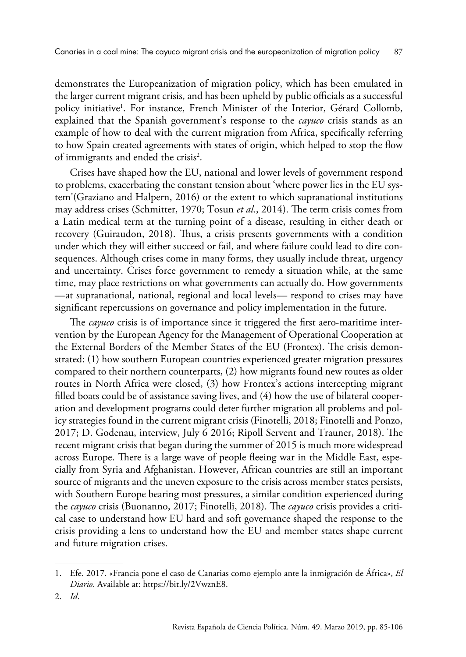demonstrates the Europeanization of migration policy, which has been emulated in the larger current migrant crisis, and has been upheld by public officials as a successful policy initiative1 . For instance, French Minister of the Interior, Gérard Collomb, explained that the Spanish government's response to the *cayuco* crisis stands as an example of how to deal with the current migration from Africa, specifically referring to how Spain created agreements with states of origin, which helped to stop the flow of immigrants and ended the crisis<sup>2</sup>.

Crises have shaped how the EU, national and lower levels of government respond to problems, exacerbating the constant tension about 'where power lies in the EU system'(Graziano and Halpern, 2016) or the extent to which supranational institutions may address crises (Schmitter, 1970; Tosun *et al*., 2014). The term crisis comes from a Latin medical term at the turning point of a disease, resulting in either death or recovery (Guiraudon, 2018). Thus, a crisis presents governments with a condition under which they will either succeed or fail, and where failure could lead to dire consequences. Although crises come in many forms, they usually include threat, urgency and uncertainty. Crises force government to remedy a situation while, at the same time, may place restrictions on what governments can actually do. How governments —at supranational, national, regional and local levels— respond to crises may have significant repercussions on governance and policy implementation in the future.

The *cayuco* crisis is of importance since it triggered the first aero-maritime intervention by the European Agency for the Management of Operational Cooperation at the External Borders of the Member States of the EU (Frontex). The crisis demonstrated: (1) how southern European countries experienced greater migration pressures compared to their northern counterparts, (2) how migrants found new routes as older routes in North Africa were closed, (3) how Frontex's actions intercepting migrant filled boats could be of assistance saving lives, and (4) how the use of bilateral cooperation and development programs could deter further migration all problems and policy strategies found in the current migrant crisis (Finotelli, 2018; Finotelli and Ponzo, 2017; D. Godenau, interview, July 6 2016; Ripoll Servent and Trauner, 2018). The recent migrant crisis that began during the summer of 2015 is much more widespread across Europe. There is a large wave of people fleeing war in the Middle East, especially from Syria and Afghanistan. However, African countries are still an important source of migrants and the uneven exposure to the crisis across member states persists, with Southern Europe bearing most pressures, a similar condition experienced during the *cayuco* crisis (Buonanno, 2017; Finotelli, 2018). The *cayuco* crisis provides a critical case to understand how EU hard and soft governance shaped the response to the crisis providing a lens to understand how the EU and member states shape current and future migration crises.

<sup>1.</sup> Efe. 2017. «Francia pone el caso de Canarias como ejemplo ante la inmigración de África», *El Diario*. Available at: <https://bit.ly/2VwznE8>.

<sup>2.</sup> *Id*.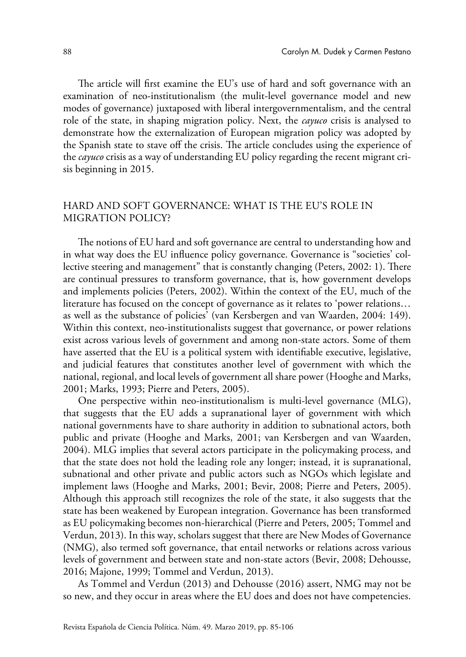The article will first examine the EU's use of hard and soft governance with an examination of neo-institutionalism (the mulit-level governance model and new modes of governance) juxtaposed with liberal intergovernmentalism, and the central role of the state, in shaping migration policy. Next, the *cayuco* crisis is analysed to demonstrate how the externalization of European migration policy was adopted by the Spanish state to stave off the crisis. The article concludes using the experience of the *cayuco* crisis as a way of understanding EU policy regarding the recent migrant crisis beginning in 2015.

# HARD AND SOFT GOVERNANCE: WHAT IS THE EU'S ROLE IN MIGRATION POLICY?

The notions of EU hard and soft governance are central to understanding how and in what way does the EU influence policy governance. Governance is "societies' collective steering and management" that is constantly changing (Peters, 2002: 1). There are continual pressures to transform governance, that is, how government develops and implements policies (Peters, 2002). Within the context of the EU, much of the literature has focused on the concept of governance as it relates to 'power relations… as well as the substance of policies' (van Kersbergen and van Waarden, 2004: 149). Within this context, neo-institutionalists suggest that governance, or power relations exist across various levels of government and among non-state actors. Some of them have asserted that the EU is a political system with identifiable executive, legislative, and judicial features that constitutes another level of government with which the national, regional, and local levels of government all share power (Hooghe and Marks, 2001; Marks, 1993; Pierre and Peters, 2005).

One perspective within neo-institutionalism is multi-level governance (MLG), that suggests that the EU adds a supranational layer of government with which national governments have to share authority in addition to subnational actors, both public and private (Hooghe and Marks, 2001; van Kersbergen and van Waarden, 2004). MLG implies that several actors participate in the policymaking process, and that the state does not hold the leading role any longer; instead, it is supranational, subnational and other private and public actors such as NGOs which legislate and implement laws (Hooghe and Marks, 2001; Bevir, 2008; Pierre and Peters, 2005). Although this approach still recognizes the role of the state, it also suggests that the state has been weakened by European integration. Governance has been transformed as EU policymaking becomes non-hierarchical (Pierre and Peters, 2005; Tommel and Verdun, 2013). In this way, scholars suggest that there are New Modes of Governance (NMG), also termed soft governance, that entail networks or relations across various levels of government and between state and non-state actors (Bevir, 2008; Dehousse, 2016; Majone, 1999; Tommel and Verdun, 2013).

As Tommel and Verdun (2013) and Dehousse (2016) assert, NMG may not be so new, and they occur in areas where the EU does and does not have competencies.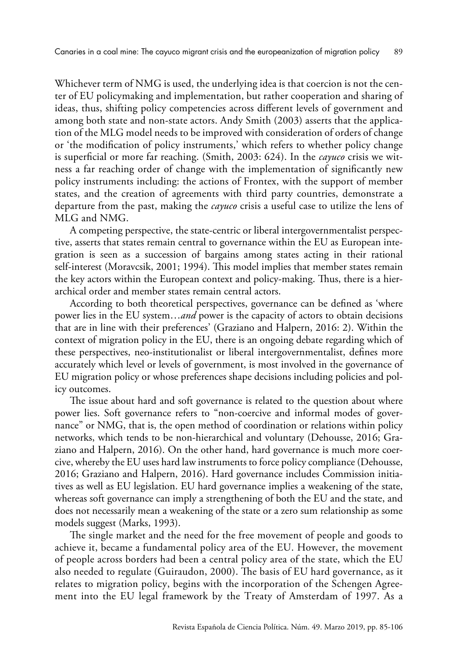Whichever term of NMG is used, the underlying idea is that coercion is not the center of EU policymaking and implementation, but rather cooperation and sharing of ideas, thus, shifting policy competencies across different levels of government and among both state and non-state actors. Andy Smith (2003) asserts that the application of the MLG model needs to be improved with consideration of orders of change or 'the modification of policy instruments,' which refers to whether policy change is superficial or more far reaching. (Smith, 2003: 624). In the *cayuco* crisis we witness a far reaching order of change with the implementation of significantly new policy instruments including: the actions of Frontex, with the support of member states, and the creation of agreements with third party countries, demonstrate a departure from the past, making the *cayuco* crisis a useful case to utilize the lens of MLG and NMG.

A competing perspective, the state-centric or liberal intergovernmentalist perspective, asserts that states remain central to governance within the EU as European integration is seen as a succession of bargains among states acting in their rational self-interest (Moravcsik, 2001; 1994). This model implies that member states remain the key actors within the European context and policy-making. Thus, there is a hierarchical order and member states remain central actors.

According to both theoretical perspectives, governance can be defined as 'where power lies in the EU system…*and* power is the capacity of actors to obtain decisions that are in line with their preferences' (Graziano and Halpern, 2016: 2). Within the context of migration policy in the EU, there is an ongoing debate regarding which of these perspectives, neo-institutionalist or liberal intergovernmentalist, defines more accurately which level or levels of government, is most involved in the governance of EU migration policy or whose preferences shape decisions including policies and policy outcomes.

The issue about hard and soft governance is related to the question about where power lies. Soft governance refers to "non-coercive and informal modes of governance" or NMG, that is, the open method of coordination or relations within policy networks, which tends to be non-hierarchical and voluntary (Dehousse, 2016; Graziano and Halpern, 2016). On the other hand, hard governance is much more coercive, whereby the EU uses hard law instruments to force policy compliance (Dehousse, 2016; Graziano and Halpern, 2016). Hard governance includes Commission initiatives as well as EU legislation. EU hard governance implies a weakening of the state, whereas soft governance can imply a strengthening of both the EU and the state, and does not necessarily mean a weakening of the state or a zero sum relationship as some models suggest (Marks, 1993).

The single market and the need for the free movement of people and goods to achieve it, became a fundamental policy area of the EU. However, the movement of people across borders had been a central policy area of the state, which the EU also needed to regulate (Guiraudon, 2000). The basis of EU hard governance, as it relates to migration policy, begins with the incorporation of the Schengen Agreement into the EU legal framework by the Treaty of Amsterdam of 1997. As a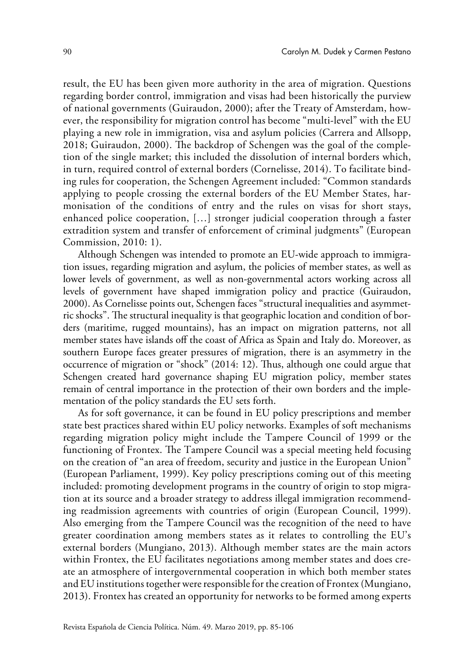result, the EU has been given more authority in the area of migration. Questions regarding border control, immigration and visas had been historically the purview of national governments (Guiraudon, 2000); after the Treaty of Amsterdam, however, the responsibility for migration control has become "multi-level" with the EU playing a new role in immigration, visa and asylum policies (Carrera and Allsopp, 2018; Guiraudon, 2000). The backdrop of Schengen was the goal of the completion of the single market; this included the dissolution of internal borders which, in turn, required control of external borders (Cornelisse, 2014). To facilitate binding rules for cooperation, the Schengen Agreement included: "Common standards applying to people crossing the external borders of the EU Member States, harmonisation of the conditions of entry and the rules on visas for short stays, enhanced police cooperation, […] stronger judicial cooperation through a faster extradition system and transfer of enforcement of criminal judgments" (European Commission, 2010: 1).

Although Schengen was intended to promote an EU-wide approach to immigration issues, regarding migration and asylum, the policies of member states, as well as lower levels of government, as well as non-governmental actors working across all levels of government have shaped immigration policy and practice (Guiraudon, 2000). As Cornelisse points out, Schengen faces "structural inequalities and asymmetric shocks". The structural inequality is that geographic location and condition of borders (maritime, rugged mountains), has an impact on migration patterns, not all member states have islands off the coast of Africa as Spain and Italy do. Moreover, as southern Europe faces greater pressures of migration, there is an asymmetry in the occurrence of migration or "shock" (2014: 12). Thus, although one could argue that Schengen created hard governance shaping EU migration policy, member states remain of central importance in the protection of their own borders and the implementation of the policy standards the EU sets forth.

As for soft governance, it can be found in EU policy prescriptions and member state best practices shared within EU policy networks. Examples of soft mechanisms regarding migration policy might include the Tampere Council of 1999 or the functioning of Frontex. The Tampere Council was a special meeting held focusing on the creation of "an area of freedom, security and justice in the European Union" (European Parliament, 1999). Key policy prescriptions coming out of this meeting included: promoting development programs in the country of origin to stop migration at its source and a broader strategy to address illegal immigration recommending readmission agreements with countries of origin (European Council, 1999). Also emerging from the Tampere Council was the recognition of the need to have greater coordination among members states as it relates to controlling the EU's external borders (Mungiano, 2013). Although member states are the main actors within Frontex, the EU facilitates negotiations among member states and does create an atmosphere of intergovernmental cooperation in which both member states and EU institutions together were responsible for the creation of Frontex (Mungiano, 2013). Frontex has created an opportunity for networks to be formed among experts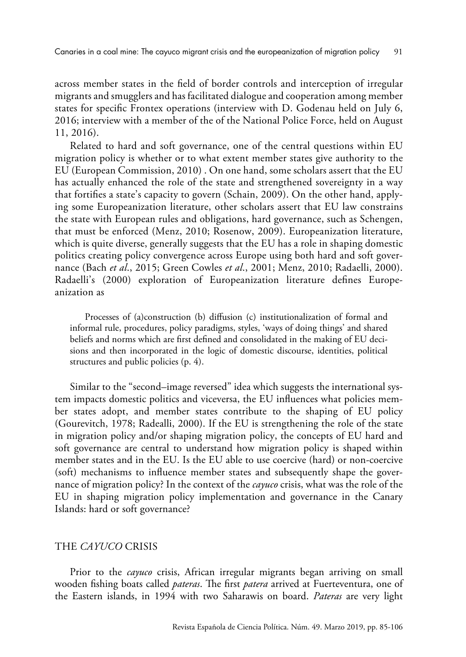across member states in the field of border controls and interception of irregular migrants and smugglers and has facilitated dialogue and cooperation among member states for specific Frontex operations (interview with D. Godenau held on July 6, 2016; interview with a member of the of the National Police Force, held on August 11, 2016).

Related to hard and soft governance, one of the central questions within EU migration policy is whether or to what extent member states give authority to the EU (European Commission, 2010) . On one hand, some scholars assert that the EU has actually enhanced the role of the state and strengthened sovereignty in a way that fortifies a state's capacity to govern (Schain, 2009). On the other hand, applying some Europeanization literature, other scholars assert that EU law constrains the state with European rules and obligations, hard governance, such as Schengen, that must be enforced (Menz, 2010; Rosenow, 2009). Europeanization literature, which is quite diverse, generally suggests that the EU has a role in shaping domestic politics creating policy convergence across Europe using both hard and soft governance (Bach *et al*., 2015; Green Cowles *et al*., 2001; Menz, 2010; Radaelli, 2000). Radaelli's (2000) exploration of Europeanization literature defines Europeanization as

Processes of (a)construction (b) diffusion (c) institutionalization of formal and informal rule, procedures, policy paradigms, styles, 'ways of doing things' and shared beliefs and norms which are first defined and consolidated in the making of EU decisions and then incorporated in the logic of domestic discourse, identities, political structures and public policies (p. 4).

Similar to the "second–image reversed" idea which suggests the international system impacts domestic politics and viceversa, the EU influences what policies member states adopt, and member states contribute to the shaping of EU policy (Gourevitch, 1978; Radealli, 2000). If the EU is strengthening the role of the state in migration policy and/or shaping migration policy, the concepts of EU hard and soft governance are central to understand how migration policy is shaped within member states and in the EU. Is the EU able to use coercive (hard) or non-coercive (soft) mechanisms to influence member states and subsequently shape the governance of migration policy? In the context of the *cayuco* crisis, what was the role of the EU in shaping migration policy implementation and governance in the Canary Islands: hard or soft governance?

#### THE *CAYUCO* CRISIS

Prior to the *cayuco* crisis, African irregular migrants began arriving on small wooden fishing boats called *pateras*. The first *patera* arrived at Fuerteventura, one of the Eastern islands, in 1994 with two Saharawis on board. *Pateras* are very light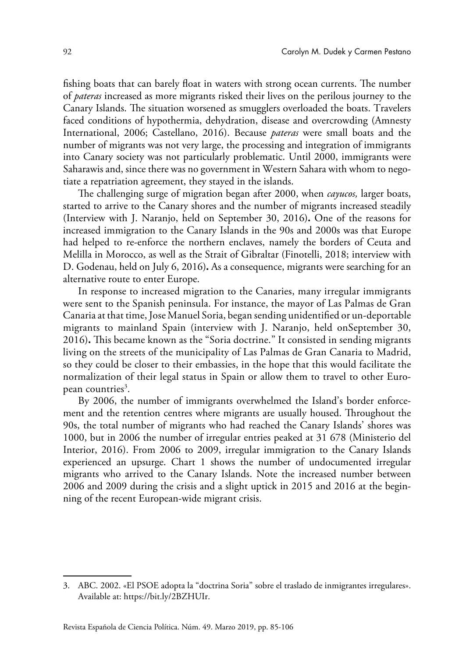fishing boats that can barely float in waters with strong ocean currents. The number of *pateras* increased as more migrants risked their lives on the perilous journey to the Canary Islands. The situation worsened as smugglers overloaded the boats. Travelers faced conditions of hypothermia, dehydration, disease and overcrowding (Amnesty International, 2006; Castellano, 2016). Because *pateras* were small boats and the number of migrants was not very large, the processing and integration of immigrants into Canary society was not particularly problematic. Until 2000, immigrants were Saharawis and, since there was no government in Western Sahara with whom to negotiate a repatriation agreement, they stayed in the islands.

The challenging surge of migration began after 2000, when *cayucos,* larger boats, started to arrive to the Canary shores and the number of migrants increased steadily (Interview with J. Naranjo, held on September 30, 2016)**.** One of the reasons for increased immigration to the Canary Islands in the 90s and 2000s was that Europe had helped to re-enforce the northern enclaves, namely the borders of Ceuta and Melilla in Morocco, as well as the Strait of Gibraltar (Finotelli, 2018; interview with D. Godenau, held on July 6, 2016)**.** As a consequence, migrants were searching for an alternative route to enter Europe.

In response to increased migration to the Canaries, many irregular immigrants were sent to the Spanish peninsula. For instance, the mayor of Las Palmas de Gran Canaria at that time, Jose Manuel Soria, began sending unidentified or un-deportable migrants to mainland Spain (interview with J. Naranjo, held onSeptember 30, 2016)**.** This became known as the "Soria doctrine." It consisted in sending migrants living on the streets of the municipality of Las Palmas de Gran Canaria to Madrid, so they could be closer to their embassies, in the hope that this would facilitate the normalization of their legal status in Spain or allow them to travel to other European countries<sup>3</sup>.

By 2006, the number of immigrants overwhelmed the Island's border enforcement and the retention centres where migrants are usually housed. Throughout the 90s, the total number of migrants who had reached the Canary Islands' shores was 1000, but in 2006 the number of irregular entries peaked at 31 678 (Ministerio del Interior, 2016). From 2006 to 2009, irregular immigration to the Canary Islands experienced an upsurge. Chart 1 shows the number of undocumented irregular migrants who arrived to the Canary Islands. Note the increased number between 2006 and 2009 during the crisis and a slight uptick in 2015 and 2016 at the beginning of the recent European-wide migrant crisis.

<sup>3.</sup> ABC. 2002. «El PSOE adopta la "doctrina Soria" sobre el traslado de inmigrantes irregulares». Available at:<https://bit.ly/2BZHUIr>.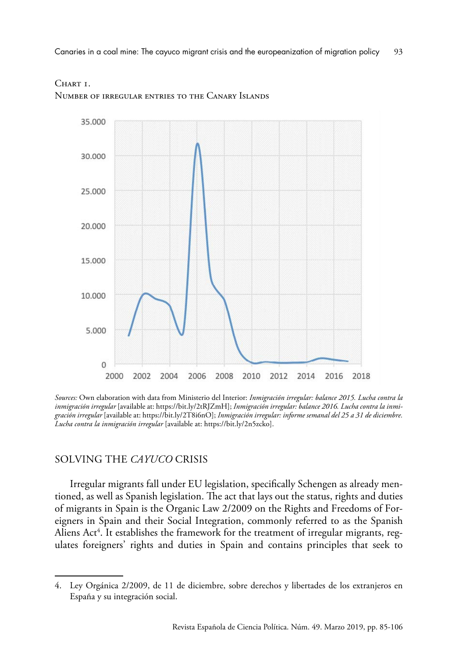Canaries in a coal mine: The cayuco migrant crisis and the europeanization of migration policy 93



CHART <sub>L</sub> Number of irregular entries to the Canary Islands

*Sources:* Own elaboration with data from Ministerio del Interior: *Inmigración irregular: balance 2015. Lucha contra la inmigración irregular* [available at:<https://bit.ly/2tRJZmH>]; *Inmigración irregular: balance 2016. Lucha contra la inmigración irregular* [available at: [https://bit.ly/2T8i6nO\]](https://bit.ly/2T8i6nO); *Inmigración irregular: informe semanal del 25 a 31 de diciembre. Lucha contra la inmigración irregular* [available at: [https://bit.ly/2n5zcko\]](https://bit.ly/2n5zcko).

# SOLVING THE *CAYUCO* CRISIS

Irregular migrants fall under EU legislation, specifically Schengen as already mentioned, as well as Spanish legislation. The act that lays out the status, rights and duties of migrants in Spain is the Organic Law 2/2009 on the Rights and Freedoms of Foreigners in Spain and their Social Integration, commonly referred to as the Spanish Aliens Act $^4$ . It establishes the framework for the treatment of irregular migrants, regulates foreigners' rights and duties in Spain and contains principles that seek to

<sup>4.</sup> Ley Orgánica 2/2009, de 11 de diciembre, sobre derechos y libertades de los extranjeros en España y su integración social.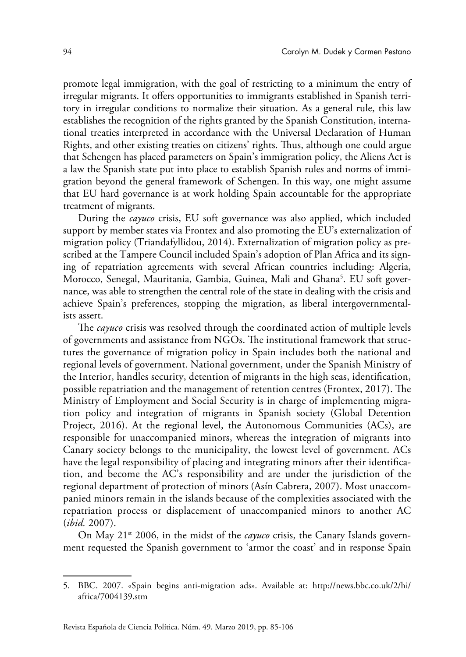promote legal immigration, with the goal of restricting to a minimum the entry of irregular migrants. It offers opportunities to immigrants established in Spanish territory in irregular conditions to normalize their situation. As a general rule, this law establishes the recognition of the rights granted by the Spanish Constitution, international treaties interpreted in accordance with the Universal Declaration of Human Rights, and other existing treaties on citizens' rights. Thus, although one could argue that Schengen has placed parameters on Spain's immigration policy, the Aliens Act is a law the Spanish state put into place to establish Spanish rules and norms of immigration beyond the general framework of Schengen. In this way, one might assume that EU hard governance is at work holding Spain accountable for the appropriate treatment of migrants.

During the *cayuco* crisis, EU soft governance was also applied, which included support by member states via Frontex and also promoting the EU's externalization of migration policy (Triandafyllidou, 2014). Externalization of migration policy as prescribed at the Tampere Council included Spain's adoption of Plan Africa and its signing of repatriation agreements with several African countries including: Algeria, Morocco, Senegal, Mauritania, Gambia, Guinea, Mali and Ghana<sup>5</sup>. EU soft governance, was able to strengthen the central role of the state in dealing with the crisis and achieve Spain's preferences, stopping the migration, as liberal intergovernmentalists assert.

The *cayuco* crisis was resolved through the coordinated action of multiple levels of governments and assistance from NGOs. The institutional framework that structures the governance of migration policy in Spain includes both the national and regional levels of government. National government, under the Spanish Ministry of the Interior, handles security, detention of migrants in the high seas, identification, possible repatriation and the management of retention centres (Frontex, 2017). The Ministry of Employment and Social Security is in charge of implementing migration policy and integration of migrants in Spanish society (Global Detention Project, 2016). At the regional level, the Autonomous Communities (ACs), are responsible for unaccompanied minors, whereas the integration of migrants into Canary society belongs to the municipality, the lowest level of government. ACs have the legal responsibility of placing and integrating minors after their identification, and become the AC's responsibility and are under the jurisdiction of the regional department of protection of minors (Asín Cabrera, 2007). Most unaccompanied minors remain in the islands because of the complexities associated with the repatriation process or displacement of unaccompanied minors to another AC (*ibid.* 2007).

On May 21<sup>st</sup> 2006, in the midst of the *cayuco* crisis, the Canary Islands government requested the Spanish government to 'armor the coast' and in response Spain

<sup>5.</sup> BBC. 2007. «Spain begins anti-migration ads». Available at: [http://news.bbc.co.uk/2/hi/](http://news.bbc.co.uk/2/hi/africa/7004139.stm) [africa/7004139.stm](http://news.bbc.co.uk/2/hi/africa/7004139.stm)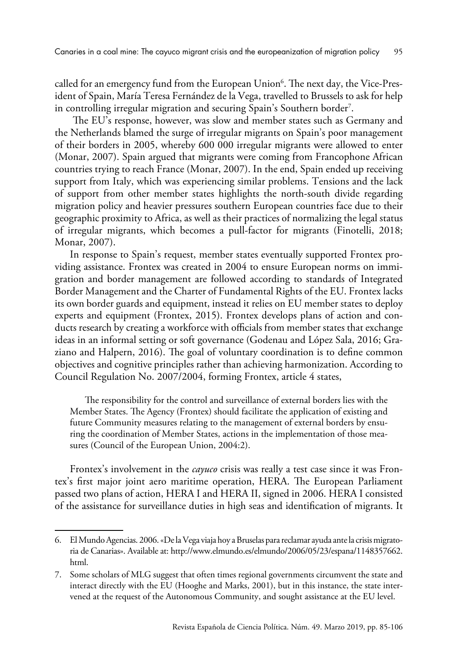called for an emergency fund from the European Union<sup>6</sup>. The next day, the Vice-President of Spain, María Teresa Fernández de la Vega, travelled to Brussels to ask for help in controlling irregular migration and securing Spain's Southern border7 .

 The EU's response, however, was slow and member states such as Germany and the Netherlands blamed the surge of irregular migrants on Spain's poor management of their borders in 2005, whereby 600 000 irregular migrants were allowed to enter (Monar, 2007). Spain argued that migrants were coming from Francophone African countries trying to reach France (Monar, 2007). In the end, Spain ended up receiving support from Italy, which was experiencing similar problems. Tensions and the lack of support from other member states highlights the north-south divide regarding migration policy and heavier pressures southern European countries face due to their geographic proximity to Africa, as well as their practices of normalizing the legal status of irregular migrants, which becomes a pull-factor for migrants (Finotelli, 2018; Monar, 2007).

In response to Spain's request, member states eventually supported Frontex providing assistance. Frontex was created in 2004 to ensure European norms on immigration and border management are followed according to standards of Integrated Border Management and the Charter of Fundamental Rights of the EU. Frontex lacks its own border guards and equipment, instead it relies on EU member states to deploy experts and equipment (Frontex, 2015). Frontex develops plans of action and conducts research by creating a workforce with officials from member states that exchange ideas in an informal setting or soft governance (Godenau and López Sala, 2016; Graziano and Halpern, 2016). The goal of voluntary coordination is to define common objectives and cognitive principles rather than achieving harmonization. According to Council Regulation No. 2007/2004, forming Frontex, article 4 states,

The responsibility for the control and surveillance of external borders lies with the Member States. The Agency (Frontex) should facilitate the application of existing and future Community measures relating to the management of external borders by ensuring the coordination of Member States, actions in the implementation of those measures (Council of the European Union, 2004:2).

Frontex's involvement in the *cayuco* crisis was really a test case since it was Frontex's first major joint aero maritime operation, HERA. The European Parliament passed two plans of action, HERA I and HERA II, signed in 2006. HERA I consisted of the assistance for surveillance duties in high seas and identification of migrants. It

<sup>6.</sup> El Mundo Agencias. 2006. «De la Vega viaja hoy a Bruselas para reclamar ayuda ante la crisis migratoria de Canarias». Available at: [http://www.elmundo.es/elmundo/2006/05/23/espana/1148357662.](http://www.elmundo.es/elmundo/2006/05/23/espana/1148357662.html) [html](http://www.elmundo.es/elmundo/2006/05/23/espana/1148357662.html).

<sup>7.</sup> Some scholars of MLG suggest that often times regional governments circumvent the state and interact directly with the EU (Hooghe and Marks, 2001), but in this instance, the state intervened at the request of the Autonomous Community, and sought assistance at the EU level.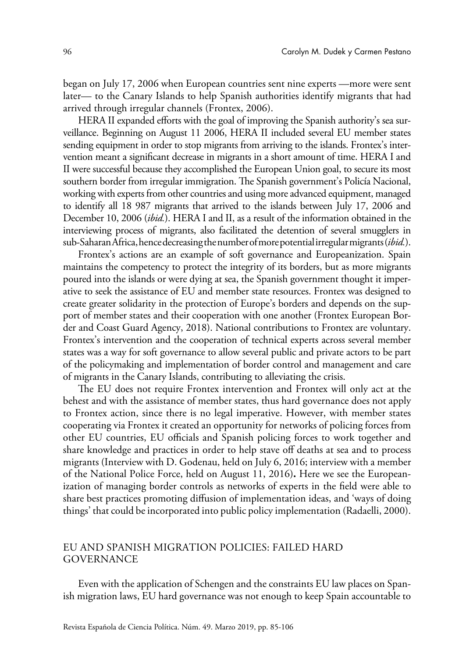began on July 17, 2006 when European countries sent nine experts —more were sent later— to the Canary Islands to help Spanish authorities identify migrants that had arrived through irregular channels (Frontex, 2006).

HERA II expanded efforts with the goal of improving the Spanish authority's sea surveillance. Beginning on August 11 2006, HERA II included several EU member states sending equipment in order to stop migrants from arriving to the islands. Frontex's intervention meant a significant decrease in migrants in a short amount of time. HERA I and II were successful because they accomplished the European Union goal, to secure its most southern border from irregular immigration. The Spanish government's Policía Nacional, working with experts from other countries and using more advanced equipment, managed to identify all 18 987 migrants that arrived to the islands between July 17, 2006 and December 10, 2006 (*ibid.*). HERA I and II, as a result of the information obtained in the interviewing process of migrants, also facilitated the detention of several smugglers in sub-Saharan Africa, hence decreasing the number of more potential irregular migrants (*ibid.*).

Frontex's actions are an example of soft governance and Europeanization. Spain maintains the competency to protect the integrity of its borders, but as more migrants poured into the islands or were dying at sea, the Spanish government thought it imperative to seek the assistance of EU and member state resources. Frontex was designed to create greater solidarity in the protection of Europe's borders and depends on the support of member states and their cooperation with one another (Frontex European Border and Coast Guard Agency, 2018). National contributions to Frontex are voluntary. Frontex's intervention and the cooperation of technical experts across several member states was a way for soft governance to allow several public and private actors to be part of the policymaking and implementation of border control and management and care of migrants in the Canary Islands, contributing to alleviating the crisis.

The EU does not require Frontex intervention and Frontex will only act at the behest and with the assistance of member states, thus hard governance does not apply to Frontex action, since there is no legal imperative. However, with member states cooperating via Frontex it created an opportunity for networks of policing forces from other EU countries, EU officials and Spanish policing forces to work together and share knowledge and practices in order to help stave off deaths at sea and to process migrants (Interview with D. Godenau, held on July 6, 2016; interview with a member of the National Police Force, held on August 11, 2016)**.** Here we see the Europeanization of managing border controls as networks of experts in the field were able to share best practices promoting diffusion of implementation ideas, and 'ways of doing things' that could be incorporated into public policy implementation (Radaelli, 2000).

# EU AND SPANISH MIGRATION POLICIES: FAILED HARD GOVERNANCE

Even with the application of Schengen and the constraints EU law places on Spanish migration laws, EU hard governance was not enough to keep Spain accountable to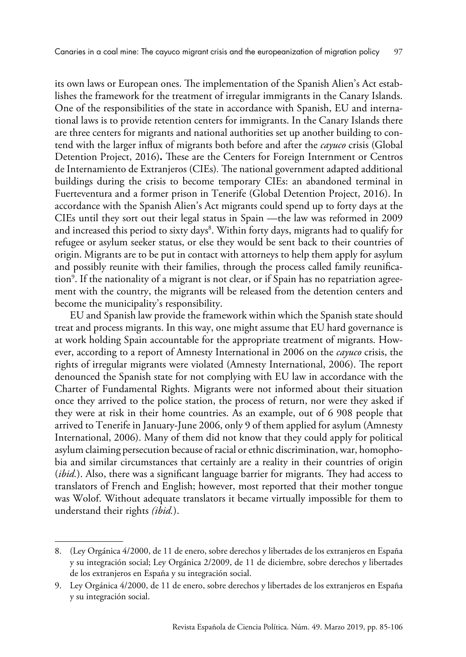its own laws or European ones. The implementation of the Spanish Alien's Act establishes the framework for the treatment of irregular immigrants in the Canary Islands. One of the responsibilities of the state in accordance with Spanish, EU and international laws is to provide retention centers for immigrants. In the Canary Islands there are three centers for migrants and national authorities set up another building to contend with the larger influx of migrants both before and after the *cayuco* crisis (Global Detention Project, 2016)**.** These are the Centers for Foreign Internment or Centros de Internamiento de Extranjeros (CIEs)*.* The national government adapted additional buildings during the crisis to become temporary CIEs: an abandoned terminal in Fuerteventura and a former prison in Tenerife (Global Detention Project, 2016). In accordance with the Spanish Alien's Act migrants could spend up to forty days at the CIEs until they sort out their legal status in Spain —the law was reformed in 2009 and increased this period to sixty days $^{\rm 8}$ . Within forty days, migrants had to qualify for refugee or asylum seeker status, or else they would be sent back to their countries of origin. Migrants are to be put in contact with attorneys to help them apply for asylum and possibly reunite with their families, through the process called family reunification<sup>9</sup>. If the nationality of a migrant is not clear, or if Spain has no repatriation agreement with the country, the migrants will be released from the detention centers and become the municipality's responsibility.

EU and Spanish law provide the framework within which the Spanish state should treat and process migrants. In this way, one might assume that EU hard governance is at work holding Spain accountable for the appropriate treatment of migrants. However, according to a report of Amnesty International in 2006 on the *cayuco* crisis, the rights of irregular migrants were violated (Amnesty International, 2006). The report denounced the Spanish state for not complying with EU law in accordance with the Charter of Fundamental Rights. Migrants were not informed about their situation once they arrived to the police station, the process of return, nor were they asked if they were at risk in their home countries. As an example, out of 6 908 people that arrived to Tenerife in January-June 2006, only 9 of them applied for asylum (Amnesty International, 2006). Many of them did not know that they could apply for political asylum claiming persecution because of racial or ethnic discrimination, war, homophobia and similar circumstances that certainly are a reality in their countries of origin (*ibid.*). Also, there was a significant language barrier for migrants. They had access to translators of French and English; however, most reported that their mother tongue was Wolof. Without adequate translators it became virtually impossible for them to understand their rights *(ibid.*).

<sup>8.</sup> (Ley Orgánica 4/2000, de 11 de enero, sobre derechos y libertades de los extranjeros en España y su integración social; Ley Orgánica 2/2009, de 11 de diciembre, sobre derechos y libertades de los extranjeros en España y su integración social.

<sup>9.</sup> Ley Orgánica 4/2000, de 11 de enero, sobre derechos y libertades de los extranjeros en España y su integración social.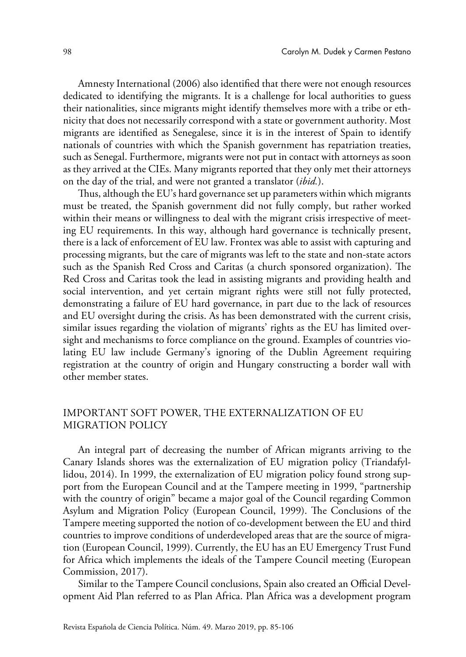Amnesty International (2006) also identified that there were not enough resources dedicated to identifying the migrants. It is a challenge for local authorities to guess their nationalities, since migrants might identify themselves more with a tribe or ethnicity that does not necessarily correspond with a state or government authority. Most migrants are identified as Senegalese, since it is in the interest of Spain to identify nationals of countries with which the Spanish government has repatriation treaties, such as Senegal. Furthermore, migrants were not put in contact with attorneys as soon as they arrived at the CIEs. Many migrants reported that they only met their attorneys on the day of the trial, and were not granted a translator (*ibid.*).

Thus, although the EU's hard governance set up parameters within which migrants must be treated, the Spanish government did not fully comply, but rather worked within their means or willingness to deal with the migrant crisis irrespective of meeting EU requirements. In this way, although hard governance is technically present, there is a lack of enforcement of EU law. Frontex was able to assist with capturing and processing migrants, but the care of migrants was left to the state and non-state actors such as the Spanish Red Cross and Caritas (a church sponsored organization). The Red Cross and Caritas took the lead in assisting migrants and providing health and social intervention, and yet certain migrant rights were still not fully protected, demonstrating a failure of EU hard governance, in part due to the lack of resources and EU oversight during the crisis. As has been demonstrated with the current crisis, similar issues regarding the violation of migrants' rights as the EU has limited oversight and mechanisms to force compliance on the ground. Examples of countries violating EU law include Germany's ignoring of the Dublin Agreement requiring registration at the country of origin and Hungary constructing a border wall with other member states.

# IMPORTANT SOFT POWER, THE EXTERNALIZATION OF EU MIGRATION POLICY

An integral part of decreasing the number of African migrants arriving to the Canary Islands shores was the externalization of EU migration policy (Triandafyllidou, 2014). In 1999, the externalization of EU migration policy found strong support from the European Council and at the Tampere meeting in 1999, "partnership with the country of origin" became a major goal of the Council regarding Common Asylum and Migration Policy (European Council, 1999). The Conclusions of the Tampere meeting supported the notion of co-development between the EU and third countries to improve conditions of underdeveloped areas that are the source of migration (European Council, 1999). Currently, the EU has an EU Emergency Trust Fund for Africa which implements the ideals of the Tampere Council meeting (European Commission, 2017).

Similar to the Tampere Council conclusions, Spain also created an Official Development Aid Plan referred to as Plan Africa. Plan Africa was a development program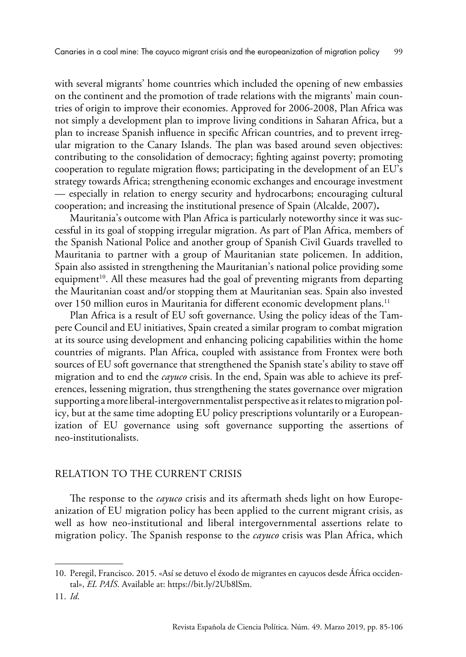with several migrants' home countries which included the opening of new embassies on the continent and the promotion of trade relations with the migrants' main countries of origin to improve their economies. Approved for 2006-2008, Plan Africa was not simply a development plan to improve living conditions in Saharan Africa, but a plan to increase Spanish influence in specific African countries, and to prevent irregular migration to the Canary Islands. The plan was based around seven objectives: contributing to the consolidation of democracy; fighting against poverty; promoting cooperation to regulate migration flows; participating in the development of an EU's strategy towards Africa; strengthening economic exchanges and encourage investment — especially in relation to energy security and hydrocarbons; encouraging cultural cooperation; and increasing the institutional presence of Spain (Alcalde, 2007)**.**

Mauritania's outcome with Plan Africa is particularly noteworthy since it was successful in its goal of stopping irregular migration. As part of Plan Africa, members of the Spanish National Police and another group of Spanish Civil Guards travelled to Mauritania to partner with a group of Mauritanian state policemen. In addition, Spain also assisted in strengthening the Mauritanian's national police providing some equipment<sup>10</sup>. All these measures had the goal of preventing migrants from departing the Mauritanian coast and/or stopping them at Mauritanian seas. Spain also invested over 150 million euros in Mauritania for different economic development plans.<sup>11</sup>

Plan Africa is a result of EU soft governance. Using the policy ideas of the Tampere Council and EU initiatives, Spain created a similar program to combat migration at its source using development and enhancing policing capabilities within the home countries of migrants. Plan Africa, coupled with assistance from Frontex were both sources of EU soft governance that strengthened the Spanish state's ability to stave off migration and to end the *cayuco* crisis. In the end, Spain was able to achieve its preferences, lessening migration, thus strengthening the states governance over migration supporting a more liberal-intergovernmentalist perspective as it relates to migration policy, but at the same time adopting EU policy prescriptions voluntarily or a Europeanization of EU governance using soft governance supporting the assertions of neo-institutionalists.

#### RELATION TO THE CURRENT CRISIS

The response to the *cayuco* crisis and its aftermath sheds light on how Europeanization of EU migration policy has been applied to the current migrant crisis, as well as how neo-institutional and liberal intergovernmental assertions relate to migration policy. The Spanish response to the *cayuco* crisis was Plan Africa, which

<sup>10.</sup> Peregil, Francisco. 2015. «Así se detuvo el éxodo de migrantes en cayucos desde África occidental», *EL PAÍS*. Available at:<https://bit.ly/2Ub8lSm>.

<sup>11.</sup> *Id*.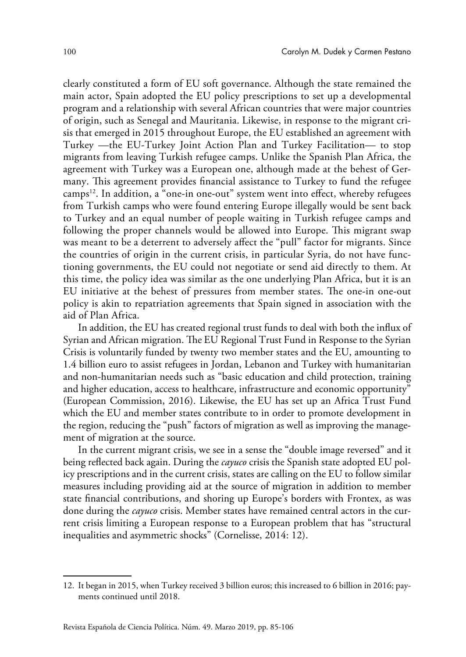clearly constituted a form of EU soft governance. Although the state remained the main actor, Spain adopted the EU policy prescriptions to set up a developmental program and a relationship with several African countries that were major countries of origin, such as Senegal and Mauritania. Likewise, in response to the migrant crisis that emerged in 2015 throughout Europe, the EU established an agreement with Turkey —the EU-Turkey Joint Action Plan and Turkey Facilitation— to stop migrants from leaving Turkish refugee camps. Unlike the Spanish Plan Africa, the agreement with Turkey was a European one, although made at the behest of Germany. This agreement provides financial assistance to Turkey to fund the refugee camps<sup>12</sup>. In addition, a "one-in one-out" system went into effect, whereby refugees from Turkish camps who were found entering Europe illegally would be sent back to Turkey and an equal number of people waiting in Turkish refugee camps and following the proper channels would be allowed into Europe. This migrant swap was meant to be a deterrent to adversely affect the "pull" factor for migrants. Since the countries of origin in the current crisis, in particular Syria, do not have functioning governments, the EU could not negotiate or send aid directly to them. At this time, the policy idea was similar as the one underlying Plan Africa, but it is an EU initiative at the behest of pressures from member states. The one-in one-out policy is akin to repatriation agreements that Spain signed in association with the aid of Plan Africa.

In addition, the EU has created regional trust funds to deal with both the influx of Syrian and African migration. The EU Regional Trust Fund in Response to the Syrian Crisis is voluntarily funded by twenty two member states and the EU, amounting to 1.4 billion euro to assist refugees in Jordan, Lebanon and Turkey with humanitarian and non-humanitarian needs such as "basic education and child protection, training and higher education, access to healthcare, infrastructure and economic opportunity" (European Commission, 2016). Likewise, the EU has set up an Africa Trust Fund which the EU and member states contribute to in order to promote development in the region, reducing the "push" factors of migration as well as improving the management of migration at the source.

In the current migrant crisis, we see in a sense the "double image reversed" and it being reflected back again. During the *cayuco* crisis the Spanish state adopted EU policy prescriptions and in the current crisis, states are calling on the EU to follow similar measures including providing aid at the source of migration in addition to member state financial contributions, and shoring up Europe's borders with Frontex, as was done during the *cayuco* crisis. Member states have remained central actors in the current crisis limiting a European response to a European problem that has "structural inequalities and asymmetric shocks" (Cornelisse, 2014: 12).

<sup>12.</sup> It began in 2015, when Turkey received 3 billion euros; this increased to 6 billion in 2016; payments continued until 2018.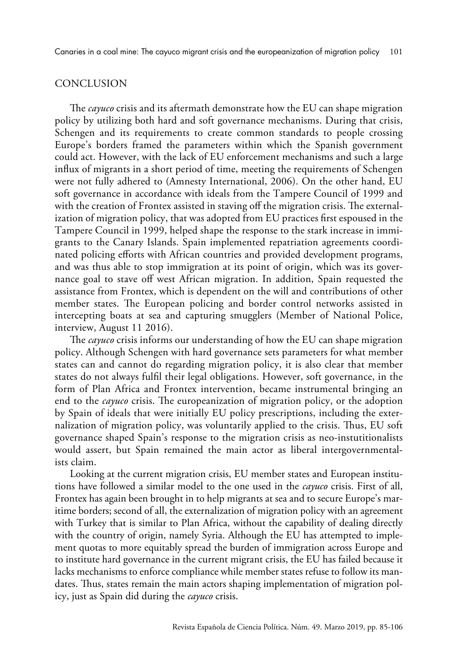Canaries in a coal mine: The cayuco migrant crisis and the europeanization of migration policy 101

## **CONCLUSION**

The *cayuco* crisis and its aftermath demonstrate how the EU can shape migration policy by utilizing both hard and soft governance mechanisms. During that crisis, Schengen and its requirements to create common standards to people crossing Europe's borders framed the parameters within which the Spanish government could act. However, with the lack of EU enforcement mechanisms and such a large influx of migrants in a short period of time, meeting the requirements of Schengen were not fully adhered to (Amnesty International, 2006). On the other hand, EU soft governance in accordance with ideals from the Tampere Council of 1999 and with the creation of Frontex assisted in staving off the migration crisis. The externalization of migration policy, that was adopted from EU practices first espoused in the Tampere Council in 1999, helped shape the response to the stark increase in immigrants to the Canary Islands. Spain implemented repatriation agreements coordinated policing efforts with African countries and provided development programs, and was thus able to stop immigration at its point of origin, which was its governance goal to stave off west African migration. In addition, Spain requested the assistance from Frontex, which is dependent on the will and contributions of other member states. The European policing and border control networks assisted in intercepting boats at sea and capturing smugglers (Member of National Police, interview, August 11 2016).

The *cayuco* crisis informs our understanding of how the EU can shape migration policy. Although Schengen with hard governance sets parameters for what member states can and cannot do regarding migration policy, it is also clear that member states do not always fulfil their legal obligations. However, soft governance, in the form of Plan Africa and Frontex intervention, became instrumental bringing an end to the *cayuco* crisis. The europeanization of migration policy, or the adoption by Spain of ideals that were initially EU policy prescriptions, including the externalization of migration policy, was voluntarily applied to the crisis. Thus, EU soft governance shaped Spain's response to the migration crisis as neo-instutitionalists would assert, but Spain remained the main actor as liberal intergovernmentalists claim.

Looking at the current migration crisis, EU member states and European institutions have followed a similar model to the one used in the *cayuco* crisis. First of all, Frontex has again been brought in to help migrants at sea and to secure Europe's maritime borders; second of all, the externalization of migration policy with an agreement with Turkey that is similar to Plan Africa, without the capability of dealing directly with the country of origin, namely Syria. Although the EU has attempted to implement quotas to more equitably spread the burden of immigration across Europe and to institute hard governance in the current migrant crisis, the EU has failed because it lacks mechanisms to enforce compliance while member states refuse to follow its mandates. Thus, states remain the main actors shaping implementation of migration policy, just as Spain did during the *cayuco* crisis.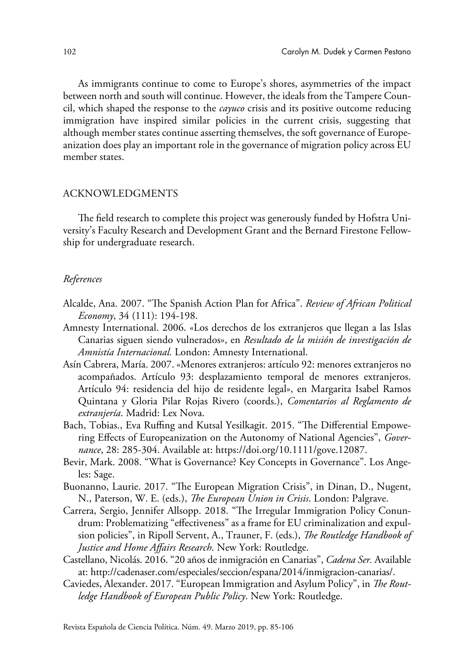As immigrants continue to come to Europe's shores, asymmetries of the impact between north and south will continue. However, the ideals from the Tampere Council, which shaped the response to the *cayuco* crisis and its positive outcome reducing immigration have inspired similar policies in the current crisis, suggesting that although member states continue asserting themselves, the soft governance of Europeanization does play an important role in the governance of migration policy across EU member states.

#### ACKNOWLEDGMENTS

The field research to complete this project was generously funded by Hofstra University's Faculty Research and Development Grant and the Bernard Firestone Fellowship for undergraduate research.

#### *References*

- Alcalde, Ana. 2007. "The Spanish Action Plan for Africa". *Review of African Political Economy*, 34 (111): 194-198.
- Amnesty International. 2006. «Los derechos de los extranjeros que llegan a las Islas Canarias siguen siendo vulnerados», en *Resultado de la misión de investigación de Amnistía Internacional.* London: Amnesty International.
- Asín Cabrera, María. 2007. «Menores extranjeros: artículo 92: menores extranjeros no acompañados. Artículo 93: desplazamiento temporal de menores extranjeros. Artículo 94: residencia del hijo de residente legal», en Margarita Isabel Ramos Quintana y Gloria Pilar Rojas Rivero (coords.), *Comentarios al Reglamento de extranjería*. Madrid: Lex Nova.
- Bach, Tobias., Eva Ruffing and Kutsal Yesilkagit. 2015. "The Differential Empowering Effects of Europeanization on the Autonomy of National Agencies", *Governance*, 28: 285-304. Available at: <https://doi.org/10.1111/gove.12087>.
- Bevir, Mark. 2008. "What is Governance? Key Concepts in Governance". Los Angeles: Sage.
- Buonanno, Laurie. 2017. "The European Migration Crisis", in Dinan, D., Nugent, N., Paterson, W. E. (eds.), *The European Union in Crisis*. London: Palgrave.
- Carrera, Sergio, Jennifer Allsopp. 2018. "The Irregular Immigration Policy Conundrum: Problematizing "effectiveness" as a frame for EU criminalization and expulsion policies", in Ripoll Servent, A., Trauner, F. (eds.), *The Routledge Handbook of Justice and Home Affairs Research*. New York: Routledge.
- Castellano, Nicolás. 2016. "20 años de inmigración en Canarias", *Cadena Ser.* Available at: [http://cadenaser.com/especiales/seccion/espana/2014/inmigracion-canarias/](http://cadenaser.com/especiales/seccion/espana/2014/inmigracion-canarias).
- Caviedes, Alexander. 2017. "European Immigration and Asylum Policy", in *The Routledge Handbook of European Public Policy*. New York: Routledge.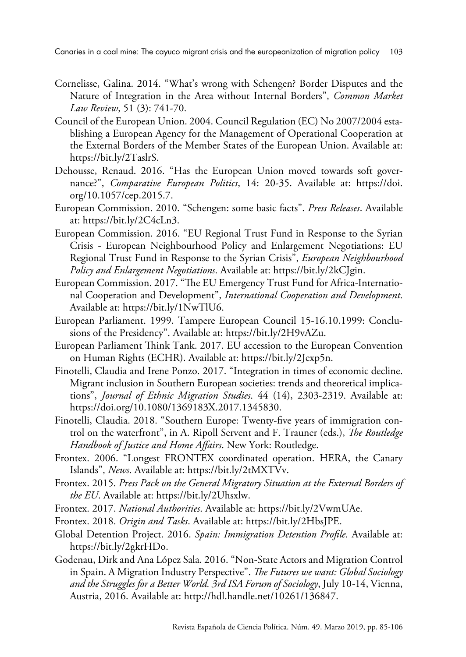- Cornelisse, Galina. 2014. "What's wrong with Schengen? Border Disputes and the Nature of Integration in the Area without Internal Borders", *Common Market Law Review*, 51 (3): 741-70.
- Council of the European Union. 2004. Council Regulation (EC) No 2007/2004 establishing a European Agency for the Management of Operational Cooperation at the External Borders of the Member States of the European Union. Available at: [https://bit.ly/2TaslrS.](https://bit.ly/2TaslrS)
- Dehousse, Renaud. 2016. "Has the European Union moved towards soft governance?", *Comparative European Politics*, 14: 20-35. Available at: [https://doi.](https://doi.org/10.1057/cep.2015.7) [org/10.1057/cep.2015.7](https://doi.org/10.1057/cep.2015.7).
- European Commission. 2010. "Schengen: some basic facts". *Press Releases*. Available at: <https://bit.ly/2C4cLn3>.
- European Commission. 2016. "EU Regional Trust Fund in Response to the Syrian Crisis - European Neighbourhood Policy and Enlargement Negotiations: EU Regional Trust Fund in Response to the Syrian Crisis", *European Neighbourhood Policy and Enlargement Negotiations*. Available at: <https://bit.ly/2kCJgin>.
- European Commission. 2017. "The EU Emergency Trust Fund for Africa-International Cooperation and Development", *International Cooperation and Development*. Available at: <https://bit.ly/1NwTlU6>.
- European Parliament. 1999. Tampere European Council 15-16.10.1999: Conclusions of the Presidency". Available at: [https://bit.ly/2H9vAZu.](https://bit.ly/2H9vAZu)
- European Parliament Think Tank. 2017. EU accession to the European Convention on Human Rights (ECHR). Available at: <https://bit.ly/2Jexp5n>.
- Finotelli, Claudia and Irene Ponzo. 2017. "Integration in times of economic decline. Migrant inclusion in Southern European societies: trends and theoretical implications", *Journal of Ethnic Migration Studies*. 44 (14), 2303-2319. Available at: [https://doi.org/10.1080/1369183X.2017.1345830.](https://doi.org/10.1080/1369183X.2017.1345830)
- Finotelli, Claudia. 2018. "Southern Europe: Twenty-five years of immigration control on the waterfront", in A. Ripoll Servent and F. Trauner (eds.), *The Routledge Handbook of Justice and Home Affairs*. New York: Routledge.
- Frontex. 2006. "Longest FRONTEX coordinated operation. HERA, the Canary Islands", *News*. Available at: <https://bit.ly/2tMXTVv>.
- Frontex. 2015. *Press Pack on the General Migratory Situation at the External Borders of the EU*. Available at: <https://bit.ly/2Uhsxlw>.
- Frontex. 2017. *National Authorities*. Available at:<https://bit.ly/2VwmUAe>.
- Frontex. 2018. *Origin and Tasks*. Available at:<https://bit.ly/2HbsJPE>.
- Global Detention Project. 2016. *Spain: Immigration Detention Profile.* Available at: [https://bit.ly/2gkrHDo.](https://bit.ly/2gkrHDo)
- Godenau, Dirk and Ana López Sala. 2016. "Non-State Actors and Migration Control in Spain. A Migration Industry Perspective". *The Futures we want: Global Sociology and the Struggles for a Better World. 3rd ISA Forum of Sociology*, July 10-14, Vienna, Austria, 2016. Available at:<http://hdl.handle.net/10261/136847>.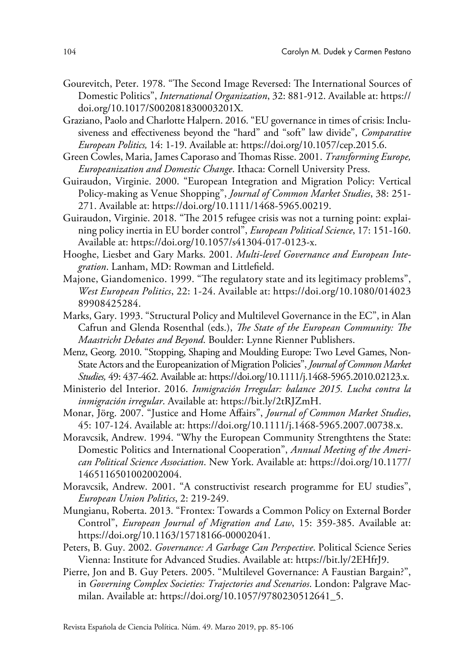- Gourevitch, Peter. 1978. "The Second Image Reversed: The International Sources of Domestic Politics", *International Organization*, 32: 881-912. Available at: [https://](https://doi.org/10.1017/S002081830003201X) [doi.org/10.1017/S002081830003201X](https://doi.org/10.1017/S002081830003201X).
- Graziano, Paolo and Charlotte Halpern. 2016. "EU governance in times of crisis: Inclusiveness and effectiveness beyond the "hard" and "soft" law divide", *Comparative European Politics,* 14: 1-19. Available at: [https://doi.org/10.1057/cep.2015.6.](https://doi.org/10.1057/cep.2015.6)
- Green Cowles, Maria, James Caporaso and Thomas Risse. 2001. *Transforming Europe, Europeanization and Domestic Change*. Ithaca: Cornell University Press.
- Guiraudon, Virginie. 2000. "European Integration and Migration Policy: Vertical Policy-making as Venue Shopping", *Journal of Common Market Studies*, 38: 251- 271. Available at:<https://doi.org/10.1111/1468-5965.00219>.
- Guiraudon, Virginie. 2018. "The 2015 refugee crisis was not a turning point: explaining policy inertia in EU border control", *European Political Science*, 17: 151-160. Available at:<https://doi.org/10.1057/s41304-017-0123-x>.
- Hooghe, Liesbet and Gary Marks. 2001. *Multi-level Governance and European Integration*. Lanham, MD: Rowman and Littlefield.
- Majone, Giandomenico. 1999. "The regulatory state and its legitimacy problems", *West European Politics*, 22: 1-24. Available at: [https://doi.org/10.1080/014023](https://doi.org/10.1080/01402389908425284) [89908425284](https://doi.org/10.1080/01402389908425284).
- Marks, Gary. 1993. "Structural Policy and Multilevel Governance in the EC", in Alan Cafrun and Glenda Rosenthal (eds.), *The State of the European Community: The Maastricht Debates and Beyond*. Boulder: Lynne Rienner Publishers.
- Menz, Georg. 2010. "Stopping, Shaping and Moulding Europe: Two Level Games, Non-State Actors and the Europeanization of Migration Policies", *Journal of Common Market Studies,* 49: 437-462. Available at: [https://doi.org/10.1111/j.1468-5965.2010.02123.x.](https://doi.org/10.1111/j.1468-5965.2010.02123.x)
- Ministerio del Interior. 2016. *Inmigración Irregular: balance 2015. Lucha contra la inmigración irregular*. Available at: [https://bit.ly/2tRJZmH.](https://bit.ly/2tRJZmH)
- Monar, Jörg. 2007. "Justice and Home Affairs", *Journal of Common Market Studies*, 45: 107-124. Available at: <https://doi.org/10.1111/j.1468-5965.2007.00738.x>.
- Moravcsik, Andrew. 1994. "Why the European Community Strengthtens the State: Domestic Politics and International Cooperation", *Annual Meeting of the American Political Science Association*. New York. Available at: [https://doi.org/10.1177/](https://doi.org/10.1177/1465116501002002004) [1465116501002002004](https://doi.org/10.1177/1465116501002002004).
- Moravcsik, Andrew. 2001. "A constructivist research programme for EU studies", *European Union Politics*, 2: 219-249.
- Mungianu, Roberta. 2013. "Frontex: Towards a Common Policy on External Border Control", *European Journal of Migration and Law*, 15: 359-385. Available at: <https://doi.org/10.1163/15718166-00002041>.
- Peters, B. Guy. 2002. *Governance: A Garbage Can Perspective*. Political Science Series Vienna: Institute for Advanced Studies. Available at:<https://bit.ly/2EHfrJ9>.
- Pierre, Jon and B. Guy Peters. 2005. "Multilevel Governance: A Faustian Bargain?", in *Governing Complex Societies: Trajectories and Scenarios*. London: Palgrave Macmilan. Available at: [https://doi.org/10.1057/9780230512641\\_5.](https://doi.org/10.1057/9780230512641_5)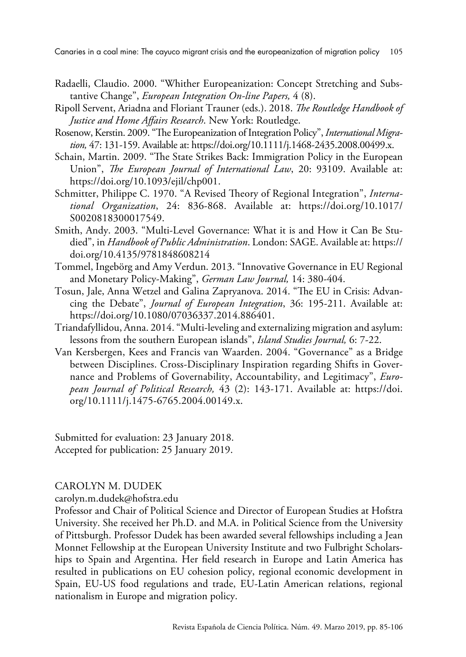Canaries in a coal mine: The cayuco migrant crisis and the europeanization of migration policy 105

- Radaelli, Claudio. 2000. "Whither Europeanization: Concept Stretching and Substantive Change", *European Integration On-line Papers,* 4 (8).
- Ripoll Servent, Ariadna and Floriant Trauner (eds.). 2018. *The Routledge Handbook of Justice and Home Affairs Research*. New York: Routledge.
- Rosenow, Kerstin. 2009. "The Europeanization of Integration Policy", *International Migration,* 47: 131-159. Available at:<https://doi.org/10.1111/j.1468-2435.2008.00499.x>.
- Schain, Martin. 2009. "The State Strikes Back: Immigration Policy in the European Union", *The European Journal of International Law*, 20: 93109. Available at: [https://doi.org/10.1093/ejil/chp001.](https://doi.org/10.1093/ejil/chp001)
- Schmitter, Philippe C. 1970. "A Revised Theory of Regional Integration", *International Organization*, 24: 836-868. Available at: [https://doi.org/10.1017/](https://doi.org/10.1017/S0020818300017549) [S0020818300017549.](https://doi.org/10.1017/S0020818300017549)
- Smith, Andy. 2003. "Multi-Level Governance: What it is and How it Can Be Studied", in *Handbook of Public Administration*. London: SAGE. Available at: [https://](https://doi.org/10.4135/9781848608214) [doi.org/10.4135/9781848608214](https://doi.org/10.4135/9781848608214)
- Tommel, Ingebörg and Amy Verdun. 2013. "Innovative Governance in EU Regional and Monetary Policy-Making", *German Law Journal,* 14: 380-404.
- Tosun, Jale, Anna Wetzel and Galina Zapryanova. 2014. "The EU in Crisis: Advancing the Debate", *Journal of European Integration*, 36: 195-211. Available at: [https://doi.org/10.1080/07036337.2014.886401.](https://doi.org/10.1080/07036337.2014.886401)
- Triandafyllidou, Anna. 2014. "Multi-leveling and externalizing migration and asylum: lessons from the southern European islands", *Island Studies Journal,* 6: 7-22.
- Van Kersbergen, Kees and Francis van Waarden. 2004. "Governance" as a Bridge between Disciplines. Cross-Disciplinary Inspiration regarding Shifts in Governance and Problems of Governability, Accountability, and Legitimacy", *European Journal of Political Research,* 43 (2): 143-171. Available at: [https://doi.](https://doi.org/10.1111/j.1475-6765.2004.00149.x) [org/10.1111/j.1475-6765.2004.00149.x.](https://doi.org/10.1111/j.1475-6765.2004.00149.x)

Submitted for evaluation: 23 January 2018. Accepted for publication: 25 January 2019.

## CAROLYN M. DUDEK

[carolyn.m.dudek@hofstra.edu](mailto:carolyn.m.dudek%40hofstra.edu?subject=)

Professor and Chair of Political Science and Director of European Studies at Hofstra University. She received her Ph.D. and M.A. in Political Science from the University of Pittsburgh. Professor Dudek has been awarded several fellowships including a Jean Monnet Fellowship at the European University Institute and two Fulbright Scholarships to Spain and Argentina. Her field research in Europe and Latin America has resulted in publications on EU cohesion policy, regional economic development in Spain, EU-US food regulations and trade, EU-Latin American relations, regional nationalism in Europe and migration policy.